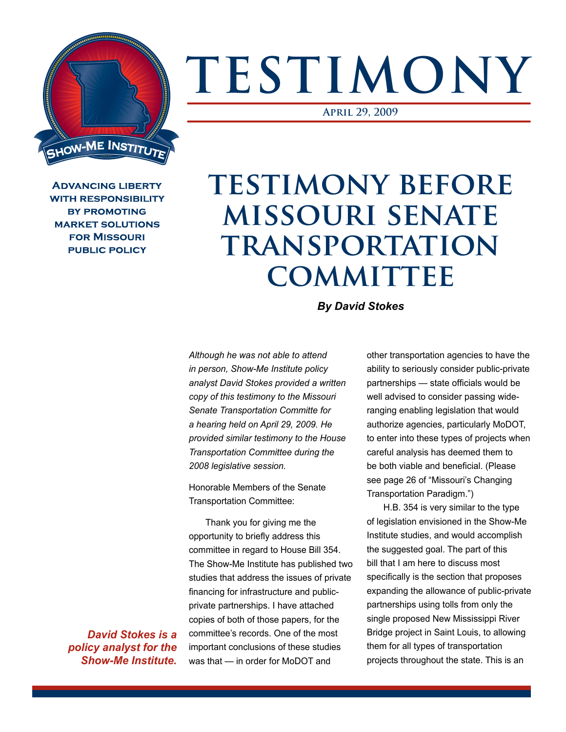

## **TESTIMONY**

**April 29, 2009**

**ADVANCING LIBERTY WITH RESPONSIBILITY BY PROMOTING MARKET SOLUTIONS FOR MISSOURI PUBLIC POLICY** 

## **TESTIMONY BEFORE missouri senate transportation committee**

*By David Stokes*

*Although he was not able to attend in person, Show-Me Institute policy analyst David Stokes provided a written copy of this testimony to the Missouri Senate Transportation Committe for a hearing held on April 29, 2009. He provided similar testimony to the House Transportation Committee during the 2008 legislative session.* 

Honorable Members of the Senate Transportation Committee:

Thank you for giving me the opportunity to briefly address this committee in regard to House Bill 354. The Show-Me Institute has published two studies that address the issues of private financing for infrastructure and publicprivate partnerships. I have attached copies of both of those papers, for the committee's records. One of the most important conclusions of these studies was that — in order for MoDOT and

other transportation agencies to have the ability to seriously consider public-private partnerships — state officials would be well advised to consider passing wideranging enabling legislation that would authorize agencies, particularly MoDOT, to enter into these types of projects when careful analysis has deemed them to be both viable and beneficial. (Please see page 26 of "Missouri's Changing Transportation Paradigm.")

H.B. 354 is very similar to the type of legislation envisioned in the Show-Me Institute studies, and would accomplish the suggested goal. The part of this bill that I am here to discuss most specifically is the section that proposes expanding the allowance of public-private partnerships using tolls from only the single proposed New Mississippi River Bridge project in Saint Louis, to allowing them for all types of transportation projects throughout the state. This is an

*David Stokes is a policy analyst for the Show-Me Institute.*